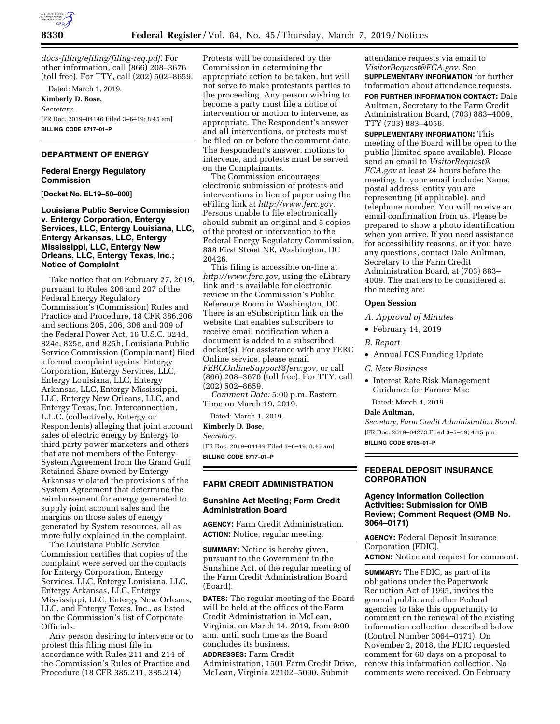

*[docs-filing/efiling/filing-req.pdf](http://www.ferc.gov/docs-filing/efiling/filing-req.pdf)*. For other information, call (866) 208–3676 (toll free). For TTY, call (202) 502–8659.

Dated: March 1, 2019.

**Kimberly D. Bose,**  *Secretary.*  [FR Doc. 2019–04146 Filed 3–6–19; 8:45 am] **BILLING CODE 6717–01–P** 

# **DEPARTMENT OF ENERGY**

#### **Federal Energy Regulatory Commission**

**[Docket No. EL19–50–000]** 

**Louisiana Public Service Commission v. Entergy Corporation, Entergy Services, LLC, Entergy Louisiana, LLC, Entergy Arkansas, LLC, Entergy Mississippi, LLC, Entergy New Orleans, LLC, Entergy Texas, Inc.; Notice of Complaint** 

Take notice that on February 27, 2019, pursuant to Rules 206 and 207 of the Federal Energy Regulatory Commission's (Commission) Rules and Practice and Procedure, 18 CFR 386.206 and sections 205, 206, 306 and 309 of the Federal Power Act, 16 U.S.C. 824d, 824e, 825c, and 825h, Louisiana Public Service Commission (Complainant) filed a formal complaint against Entergy Corporation, Entergy Services, LLC, Entergy Louisiana, LLC, Entergy Arkansas, LLC, Entergy Mississippi, LLC, Entergy New Orleans, LLC, and Entergy Texas, Inc. Interconnection, L.L.C. (collectively, Entergy or Respondents) alleging that joint account sales of electric energy by Entergy to third party power marketers and others that are not members of the Entergy System Agreement from the Grand Gulf Retained Share owned by Entergy Arkansas violated the provisions of the System Agreement that determine the reimbursement for energy generated to supply joint account sales and the margins on those sales of energy generated by System resources, all as more fully explained in the complaint.

The Louisiana Public Service Commission certifies that copies of the complaint were served on the contacts for Entergy Corporation, Entergy Services, LLC, Entergy Louisiana, LLC, Entergy Arkansas, LLC, Entergy Mississippi, LLC, Entergy New Orleans, LLC, and Entergy Texas, Inc., as listed on the Commission's list of Corporate Officials.

Any person desiring to intervene or to protest this filing must file in accordance with Rules 211 and 214 of the Commission's Rules of Practice and Procedure (18 CFR 385.211, 385.214).

Protests will be considered by the Commission in determining the appropriate action to be taken, but will not serve to make protestants parties to the proceeding. Any person wishing to become a party must file a notice of intervention or motion to intervene, as appropriate. The Respondent's answer and all interventions, or protests must be filed on or before the comment date. The Respondent's answer, motions to intervene, and protests must be served on the Complainants.

The Commission encourages electronic submission of protests and interventions in lieu of paper using the eFiling link at *[http://www.ferc.gov.](http://www.ferc.gov)*  Persons unable to file electronically should submit an original and 5 copies of the protest or intervention to the Federal Energy Regulatory Commission, 888 First Street NE, Washington, DC 20426.

This filing is accessible on-line at *[http://www.ferc.gov,](http://www.ferc.gov)* using the eLibrary link and is available for electronic review in the Commission's Public Reference Room in Washington, DC. There is an eSubscription link on the website that enables subscribers to receive email notification when a document is added to a subscribed docket(s). For assistance with any FERC Online service, please email *[FERCOnlineSupport@ferc.gov,](mailto:FERCOnlineSupport@ferc.gov)* or call (866) 208–3676 (toll free). For TTY, call (202) 502–8659.

*Comment Date:* 5:00 p.m. Eastern Time on March 19, 2019.

Dated: March 1, 2019.

**Kimberly D. Bose,** 

*Secretary.* 

[FR Doc. 2019–04149 Filed 3–6–19; 8:45 am] **BILLING CODE 6717–01–P** 

#### **FARM CREDIT ADMINISTRATION**

### **Sunshine Act Meeting; Farm Credit Administration Board**

**AGENCY:** Farm Credit Administration. **ACTION:** Notice, regular meeting.

**SUMMARY:** Notice is hereby given, pursuant to the Government in the Sunshine Act, of the regular meeting of the Farm Credit Administration Board (Board).

**DATES:** The regular meeting of the Board will be held at the offices of the Farm Credit Administration in McLean, Virginia, on March 14, 2019, from 9:00 a.m. until such time as the Board concludes its business.

**ADDRESSES:** Farm Credit Administration, 1501 Farm Credit Drive, McLean, Virginia 22102–5090. Submit

attendance requests via email to *[VisitorRequest@FCA.gov.](mailto:VisitorRequest@FCA.gov)* See **SUPPLEMENTARY INFORMATION** for further information about attendance requests. **FOR FURTHER INFORMATION CONTACT:** Dale Aultman, Secretary to the Farm Credit Administration Board, (703) 883–4009, TTY (703) 883–4056.

**SUPPLEMENTARY INFORMATION:** This meeting of the Board will be open to the public (limited space available). Please send an email to *[VisitorRequest@](mailto:VisitorRequest@FCA.gov) [FCA.gov](mailto:VisitorRequest@FCA.gov)* at least 24 hours before the meeting. In your email include: Name, postal address, entity you are representing (if applicable), and telephone number. You will receive an email confirmation from us. Please be prepared to show a photo identification when you arrive. If you need assistance for accessibility reasons, or if you have any questions, contact Dale Aultman, Secretary to the Farm Credit Administration Board, at (703) 883– 4009. The matters to be considered at the meeting are:

#### **Open Session**

*A. Approval of Minutes* 

- February 14, 2019
- *B. Report*
- Annual FCS Funding Update
- *C. New Business*
- Interest Rate Risk Management Guidance for Farmer Mac
- Dated: March 4, 2019.

**Dale Aultman,** 

*Secretary, Farm Credit Administration Board.*  [FR Doc. 2019–04273 Filed 3–5–19; 4:15 pm]

**BILLING CODE 6705–01–P** 

#### **FEDERAL DEPOSIT INSURANCE CORPORATION**

# **Agency Information Collection Activities: Submission for OMB Review; Comment Request (OMB No. 3064–0171)**

**AGENCY:** Federal Deposit Insurance Corporation (FDIC). **ACTION:** Notice and request for comment.

**SUMMARY:** The FDIC, as part of its obligations under the Paperwork Reduction Act of 1995, invites the general public and other Federal agencies to take this opportunity to comment on the renewal of the existing information collection described below (Control Number 3064–0171). On November 2, 2018, the FDIC requested comment for 60 days on a proposal to renew this information collection. No comments were received. On February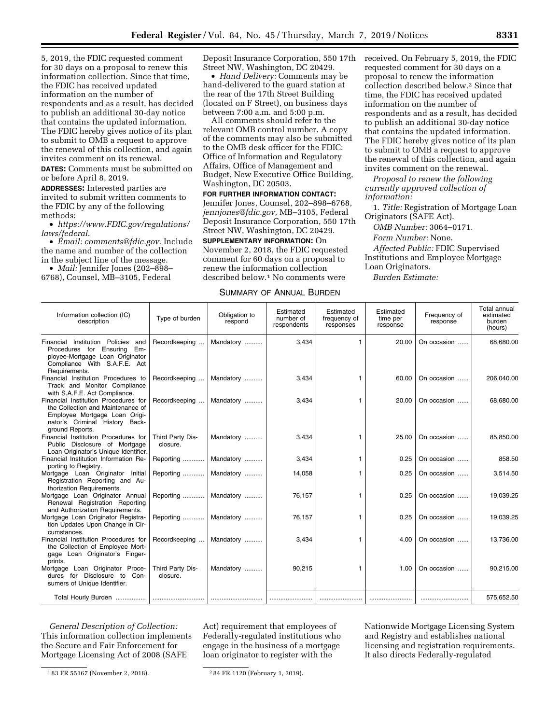5, 2019, the FDIC requested comment for 30 days on a proposal to renew this information collection. Since that time, the FDIC has received updated information on the number of respondents and as a result, has decided to publish an additional 30-day notice that contains the updated information. The FDIC hereby gives notice of its plan to submit to OMB a request to approve the renewal of this collection, and again invites comment on its renewal.

**DATES:** Comments must be submitted on or before April 8, 2019.

**ADDRESSES:** Interested parties are invited to submit written comments to the FDIC by any of the following methods:

• *[https://www.FDIC.gov/regulations/](https://www.FDIC.gov/regulations/laws/federal) [laws/federal](https://www.FDIC.gov/regulations/laws/federal)*.

• *Email: [comments@fdic.gov](mailto:comments@fdic.gov)*. Include the name and number of the collection in the subject line of the message.

• *Mail:* Jennifer Jones (202–898– 6768), Counsel, MB–3105, Federal

Deposit Insurance Corporation, 550 17th Street NW, Washington, DC 20429.

• *Hand Delivery:* Comments may be hand-delivered to the guard station at the rear of the 17th Street Building (located on F Street), on business days between 7:00 a.m. and 5:00 p.m.

All comments should refer to the relevant OMB control number. A copy of the comments may also be submitted to the OMB desk officer for the FDIC: Office of Information and Regulatory Affairs, Office of Management and Budget, New Executive Office Building, Washington, DC 20503.

**FOR FURTHER INFORMATION CONTACT:**  Jennifer Jones, Counsel, 202–898–6768, *[jennjones@fdic.gov,](mailto:jennjones@fdic.gov)* MB–3105, Federal Deposit Insurance Corporation, 550 17th Street NW, Washington, DC 20429.

**SUPPLEMENTARY INFORMATION:** On November 2, 2018, the FDIC requested comment for 60 days on a proposal to renew the information collection described below.1 No comments were

SUMMARY OF ANNUAL BURDEN

# received. On February 5, 2019, the FDIC requested comment for 30 days on a proposal to renew the information collection described below.2 Since that time, the FDIC has received updated information on the number of respondents and as a result, has decided to publish an additional 30-day notice that contains the updated information. The FDIC hereby gives notice of its plan to submit to OMB a request to approve the renewal of this collection, and again invites comment on the renewal.

*Proposal to renew the following currently approved collection of information:* 

1. *Title:* Registration of Mortgage Loan Originators (SAFE Act).

*OMB Number:* 3064–0171.

*Form Number:* None.

*Affected Public:* FDIC Supervised Institutions and Employee Mortgage Loan Originators.

*Burden Estimate:* 

#### Information collection (IC) ation collection (IC) Type of burden Cobligation to<br>description description respond Estimated number of respondents Estimated frequency of responses Estimated time per response Frequency of response Total annual estimated burden (hours) Financial Institution Policies and Procedures for Ensuring Employee-Mortgage Loan Originator Compliance With S.A.F.E. Act Requirements. Recordkeeping ... | Mandatory .......... | 3,434 | 1 | 20.00 | On occasion ...... | 68,680.00 Financial Institution Procedures to Track and Monitor Compliance with S.A.F.E. Act Compliance. Recordkeeping ... | Mandatory .......... | 3,434 | 1 60.00 | On occasion ..... | 206,040.00 Financial Institution Procedures for the Collection and Maintenance of Employee Mortgage Loan Originator's Criminal History Background Reports. Recordkeeping ... | Mandatory .......... | 3,434 | 1 | 20.00 | On occasion ..... | 68,680.00 Financial Institution Procedures for Public Disclosure of Mortgage Loan Originator's Unique Identifier. Third Party Disclosure. Mandatory .......... | 3,434 | 3,434 | 25.00 On occasion ...... | 85,850.00 Financial Institution Information Reporting to Registry. Reporting ............ | Mandatory .......... | 3,434 | 1 | 0.25 | On occasion ...... | 858.50 Mortgage Loan Originator Initial Registration Reporting and Authorization Requirements. Reporting ............ Mandatory .......... 14,058 1 0.25 On occasion ...... 3,514.50 Mortgage Loan Originator Annual Renewal Registration Reporting and Authorization Requirements. Reporting ............ | Mandatory .......... | 76,157 | 1 | 0.25 | On occasion ...... | 19,039.25 Mortgage Loan Originator Registration Updates Upon Change in Circumstances. Reporting ............ | Mandatory .......... | 76,157 | 1 | 0.25 | On occasion ...... | 19,039.25 Financial Institution Procedures for the Collection of Employee Mortgage Loan Originator's Fingerprints. Recordkeeping ... | Mandatory .......... | 3,434 | 1 | 4.00 | On occasion ...... | 13,736.00 Mortgage Loan Originator Procedures for Disclosure to Consumers of Unique Identifier. Third Party Disclosure. Mandatory .......... | 90,215 | 1.00 On occasion ...... | 90,215.00 Total Hourly Burden ................. ............................. ............................. ........................ ........................ ........................ ........................... 575,652.50

*General Description of Collection:*  This information collection implements the Secure and Fair Enforcement for Mortgage Licensing Act of 2008 (SAFE

Nationwide Mortgage Licensing System and Registry and establishes national licensing and registration requirements. It also directs Federally-regulated

Act) requirement that employees of Federally-regulated institutions who engage in the business of a mortgage loan originator to register with the

<sup>1</sup> 83 FR 55167 (November 2, 2018). 2 84 FR 1120 (February 1, 2019).